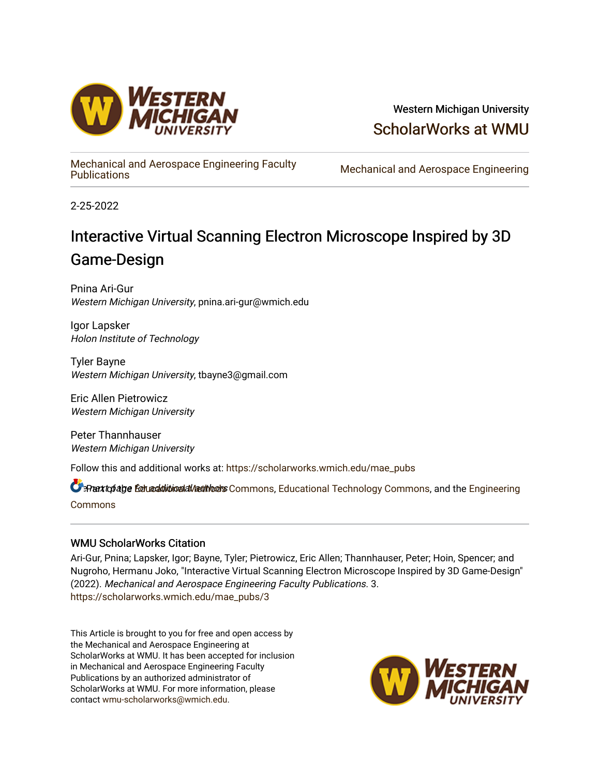

## Western Michigan University [ScholarWorks at WMU](https://scholarworks.wmich.edu/)

[Mechanical and Aerospace Engineering Faculty](https://scholarworks.wmich.edu/mae_pubs) 

Mechanical and Aerospace Engineering

2-25-2022

# Interactive Virtual Scanning Electron Microscope Inspired by 3D Game-Design

Pnina Ari-Gur Western Michigan University, pnina.ari-gur@wmich.edu

Igor Lapsker Holon Institute of Technology

Tyler Bayne Western Michigan University, tbayne3@gmail.com

Eric Allen Pietrowicz Western Michigan University

Peter Thannhauser Western Michigan University

Follow this and additional works at: [https://scholarworks.wmich.edu/mae\\_pubs](https://scholarworks.wmich.edu/mae_pubs?utm_source=scholarworks.wmich.edu%2Fmae_pubs%2F3&utm_medium=PDF&utm_campaign=PDFCoverPages)

**C** Rant to false for additional all authors Commons, [Educational Technology Commons,](https://network.bepress.com/hgg/discipline/1415?utm_source=scholarworks.wmich.edu%2Fmae_pubs%2F3&utm_medium=PDF&utm_campaign=PDFCoverPages) and the [Engineering](https://network.bepress.com/hgg/discipline/217?utm_source=scholarworks.wmich.edu%2Fmae_pubs%2F3&utm_medium=PDF&utm_campaign=PDFCoverPages) [Commons](https://network.bepress.com/hgg/discipline/217?utm_source=scholarworks.wmich.edu%2Fmae_pubs%2F3&utm_medium=PDF&utm_campaign=PDFCoverPages)

## WMU ScholarWorks Citation

Ari-Gur, Pnina; Lapsker, Igor; Bayne, Tyler; Pietrowicz, Eric Allen; Thannhauser, Peter; Hoin, Spencer; and Nugroho, Hermanu Joko, "Interactive Virtual Scanning Electron Microscope Inspired by 3D Game-Design" (2022). Mechanical and Aerospace Engineering Faculty Publications. 3. [https://scholarworks.wmich.edu/mae\\_pubs/3](https://scholarworks.wmich.edu/mae_pubs/3?utm_source=scholarworks.wmich.edu%2Fmae_pubs%2F3&utm_medium=PDF&utm_campaign=PDFCoverPages) 

This Article is brought to you for free and open access by the Mechanical and Aerospace Engineering at ScholarWorks at WMU. It has been accepted for inclusion in Mechanical and Aerospace Engineering Faculty Publications by an authorized administrator of ScholarWorks at WMU. For more information, please contact [wmu-scholarworks@wmich.edu](mailto:wmu-scholarworks@wmich.edu).

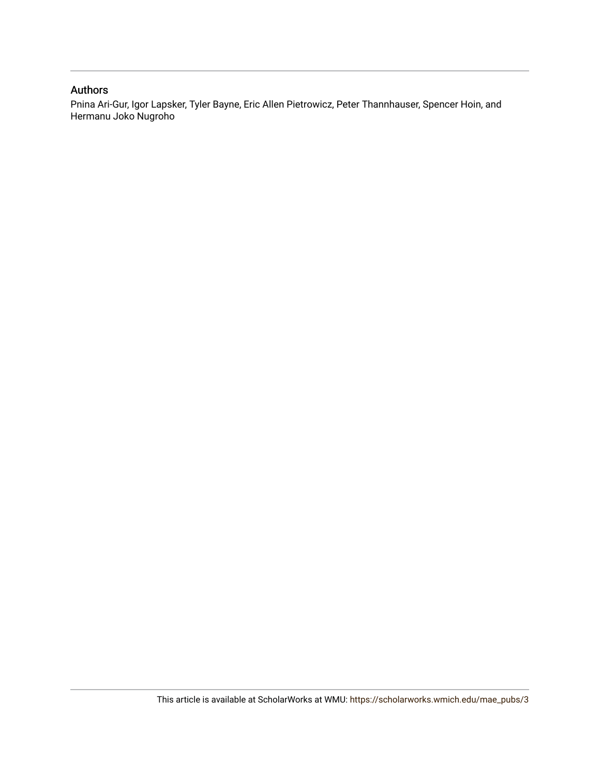### Authors

Pnina Ari-Gur, Igor Lapsker, Tyler Bayne, Eric Allen Pietrowicz, Peter Thannhauser, Spencer Hoin, and Hermanu Joko Nugroho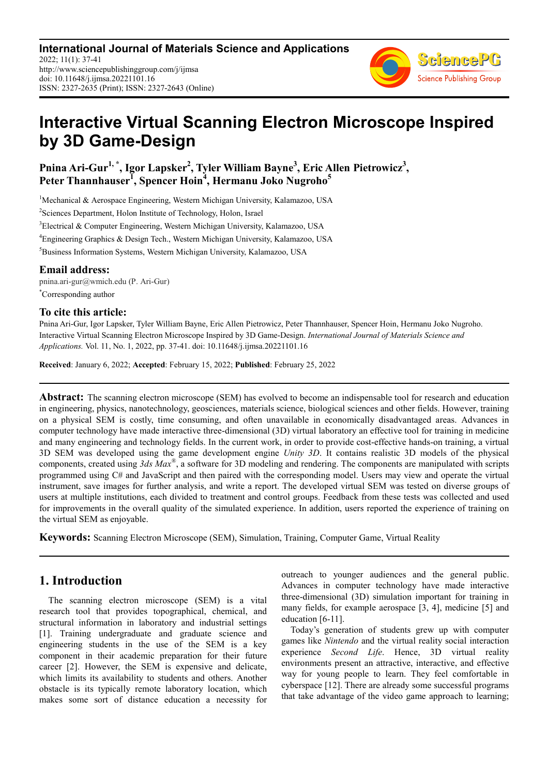**International Journal of Materials Science and Applications** 2022; 11(1): 37-41 http://www.sciencepublishinggroup.com/j/ijmsa doi: 10.11648/j.ijmsa.20221101.16 ISSN: 2327-2635 (Print); ISSN: 2327-2643 (Online)



## **Interactive Virtual Scanning Electron Microscope Inspired by 3D Game-Design**

**Pnina Ari-Gur1, \*, Igor Lapsker<sup>2</sup> , Tyler William Bayne<sup>3</sup> , Eric Allen Pietrowicz<sup>3</sup> , Peter Thannhauser<sup>1</sup> , Spencer Hoin<sup>4</sup> , Hermanu Joko Nugroho<sup>5</sup>**

<sup>1</sup>Mechanical & Aerospace Engineering, Western Michigan University, Kalamazoo, USA

2 Sciences Department, Holon Institute of Technology, Holon, Israel

<sup>3</sup>Electrical & Computer Engineering, Western Michigan University, Kalamazoo, USA

<sup>4</sup>Engineering Graphics & Design Tech., Western Michigan University, Kalamazoo, USA

<sup>5</sup>Business Information Systems, Western Michigan University, Kalamazoo, USA

#### **Email address:**

\*Corresponding author pnina.ari-gur@wmich.edu (P. Ari-Gur)

#### **To cite this article:**

Pnina Ari-Gur, Igor Lapsker, Tyler William Bayne, Eric Allen Pietrowicz, Peter Thannhauser, Spencer Hoin, Hermanu Joko Nugroho. Interactive Virtual Scanning Electron Microscope Inspired by 3D Game-Design. *International Journal of Materials Science and Applications.* Vol. 11, No. 1, 2022, pp. 37-41. doi: 10.11648/j.ijmsa.20221101.16

**Received**: January 6, 2022; **Accepted**: February 15, 2022; **Published**: February 25, 2022

**Abstract:** The scanning electron microscope (SEM) has evolved to become an indispensable tool for research and education in engineering, physics, nanotechnology, geosciences, materials science, biological sciences and other fields. However, training on a physical SEM is costly, time consuming, and often unavailable in economically disadvantaged areas. Advances in computer technology have made interactive three-dimensional (3D) virtual laboratory an effective tool for training in medicine and many engineering and technology fields. In the current work, in order to provide cost-effective hands-on training, a virtual 3D SEM was developed using the game development engine *Unity 3D*. It contains realistic 3D models of the physical components, created using *3ds Max®* , a software for 3D modeling and rendering. The components are manipulated with scripts programmed using C# and JavaScript and then paired with the corresponding model. Users may view and operate the virtual instrument, save images for further analysis, and write a report. The developed virtual SEM was tested on diverse groups of users at multiple institutions, each divided to treatment and control groups. Feedback from these tests was collected and used for improvements in the overall quality of the simulated experience. In addition, users reported the experience of training on the virtual SEM as enjoyable.

**Keywords:** Scanning Electron Microscope (SEM), Simulation, Training, Computer Game, Virtual Reality

## **1. Introduction**

The scanning electron microscope (SEM) is a vital research tool that provides topographical, chemical, and structural information in laboratory and industrial settings [1]. Training undergraduate and graduate science and engineering students in the use of the SEM is a key component in their academic preparation for their future career [2]. However, the SEM is expensive and delicate, which limits its availability to students and others. Another obstacle is its typically remote laboratory location, which makes some sort of distance education a necessity for outreach to younger audiences and the general public. Advances in computer technology have made interactive three-dimensional (3D) simulation important for training in many fields, for example aerospace [3, 4], medicine [5] and education [6-11].

Today's generation of students grew up with computer games like *Nintendo* and the virtual reality social interaction experience *Second Life*. Hence, 3D virtual reality environments present an attractive, interactive, and effective way for young people to learn. They feel comfortable in cyberspace [12]. There are already some successful programs that take advantage of the video game approach to learning;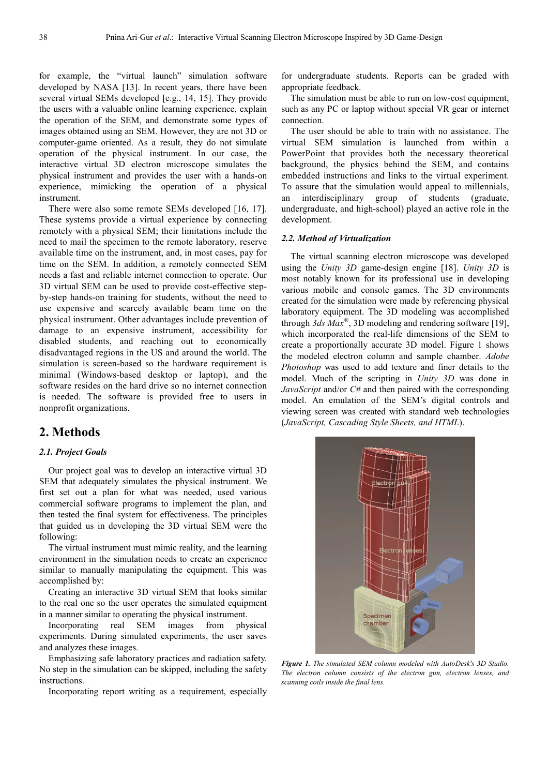for example, the "virtual launch" simulation software developed by NASA [13]. In recent years, there have been several virtual SEMs developed [e.g., 14, 15]. They provide the users with a valuable online learning experience, explain the operation of the SEM, and demonstrate some types of images obtained using an SEM. However, they are not 3D or computer-game oriented. As a result, they do not simulate operation of the physical instrument. In our case, the interactive virtual 3D electron microscope simulates the physical instrument and provides the user with a hands-on experience, mimicking the operation of a physical instrument.

There were also some remote SEMs developed [16, 17]. These systems provide a virtual experience by connecting remotely with a physical SEM; their limitations include the need to mail the specimen to the remote laboratory, reserve available time on the instrument, and, in most cases, pay for time on the SEM. In addition, a remotely connected SEM needs a fast and reliable internet connection to operate. Our 3D virtual SEM can be used to provide cost-effective stepby-step hands-on training for students, without the need to use expensive and scarcely available beam time on the physical instrument. Other advantages include prevention of damage to an expensive instrument, accessibility for disabled students, and reaching out to economically disadvantaged regions in the US and around the world. The simulation is screen-based so the hardware requirement is minimal (Windows-based desktop or laptop), and the software resides on the hard drive so no internet connection is needed. The software is provided free to users in nonprofit organizations.

## **2. Methods**

#### *2.1. Project Goals*

Our project goal was to develop an interactive virtual 3D SEM that adequately simulates the physical instrument. We first set out a plan for what was needed, used various commercial software programs to implement the plan, and then tested the final system for effectiveness. The principles that guided us in developing the 3D virtual SEM were the following:

The virtual instrument must mimic reality, and the learning environment in the simulation needs to create an experience similar to manually manipulating the equipment. This was accomplished by:

Creating an interactive 3D virtual SEM that looks similar to the real one so the user operates the simulated equipment in a manner similar to operating the physical instrument.

Incorporating real SEM images from physical experiments. During simulated experiments, the user saves and analyzes these images.

Emphasizing safe laboratory practices and radiation safety. No step in the simulation can be skipped, including the safety instructions.

Incorporating report writing as a requirement, especially

for undergraduate students. Reports can be graded with appropriate feedback.

The simulation must be able to run on low-cost equipment. such as any PC or laptop without special VR gear or internet connection.

The user should be able to train with no assistance. The virtual SEM simulation is launched from within a PowerPoint that provides both the necessary theoretical background, the physics behind the SEM, and contains embedded instructions and links to the virtual experiment. To assure that the simulation would appeal to millennials, an interdisciplinary group of students (graduate, undergraduate, and high-school) played an active role in the development.

#### *2.2. Method of Virtualization*

The virtual scanning electron microscope was developed using the *Unity 3D* game-design engine [18]. *Unity 3D* is most notably known for its professional use in developing various mobile and console games. The 3D environments created for the simulation were made by referencing physical laboratory equipment. The 3D modeling was accomplished through *3ds Max®* , 3D modeling and rendering software [19], which incorporated the real-life dimensions of the SEM to create a proportionally accurate 3D model. Figure 1 shows the modeled electron column and sample chamber. *Adobe Photoshop* was used to add texture and finer details to the model. Much of the scripting in *Unity 3D* was done in *JavaScript* and/or *C#* and then paired with the corresponding model. An emulation of the SEM's digital controls and viewing screen was created with standard web technologies (*JavaScript, Cascading Style Sheets, and HTML*).



*Figure 1. The simulated SEM column modeled with AutoDesk's 3D Studio. The electron column consists of the electron gun, electron lenses, and scanning coils inside the final lens.*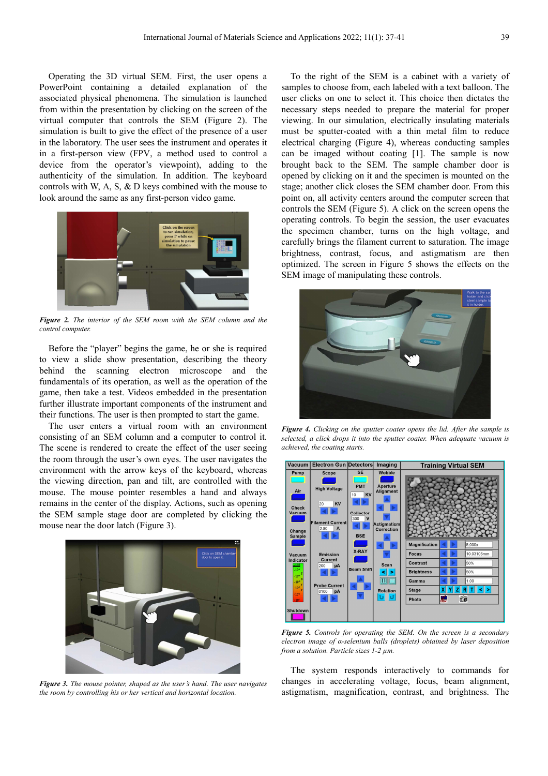Operating the 3D virtual SEM. First, the user opens a PowerPoint containing a detailed explanation of the associated physical phenomena. The simulation is launched from within the presentation by clicking on the screen of the virtual computer that controls the SEM (Figure 2). The simulation is built to give the effect of the presence of a user in the laboratory. The user sees the instrument and operates it in a first-person view (FPV, a method used to control a device from the operator's viewpoint), adding to the authenticity of the simulation. In addition. The keyboard controls with W, A, S, & D keys combined with the mouse to look around the same as any first-person video game.



*Figure 2. The interior of the SEM room with the SEM column and the control computer.* 

Before the "player" begins the game, he or she is required to view a slide show presentation, describing the theory behind the scanning electron microscope and the fundamentals of its operation, as well as the operation of the game, then take a test. Videos embedded in the presentation further illustrate important components of the instrument and their functions. The user is then prompted to start the game.

The user enters a virtual room with an environment consisting of an SEM column and a computer to control it. The scene is rendered to create the effect of the user seeing the room through the user's own eyes. The user navigates the environment with the arrow keys of the keyboard, whereas the viewing direction, pan and tilt, are controlled with the mouse. The mouse pointer resembles a hand and always remains in the center of the display. Actions, such as opening the SEM sample stage door are completed by clicking the mouse near the door latch (Figure 3).



*Figure 3. The mouse pointer, shaped as the user's hand. The user navigates the room by controlling his or her vertical and horizontal location.* 

To the right of the SEM is a cabinet with a variety of samples to choose from, each labeled with a text balloon. The user clicks on one to select it. This choice then dictates the necessary steps needed to prepare the material for proper viewing. In our simulation, electrically insulating materials must be sputter-coated with a thin metal film to reduce electrical charging (Figure 4), whereas conducting samples can be imaged without coating [1]. The sample is now brought back to the SEM. The sample chamber door is opened by clicking on it and the specimen is mounted on the stage; another click closes the SEM chamber door. From this point on, all activity centers around the computer screen that controls the SEM (Figure 5). A click on the screen opens the operating controls. To begin the session, the user evacuates the specimen chamber, turns on the high voltage, and carefully brings the filament current to saturation. The image brightness, contrast, focus, and astigmatism are then optimized. The screen in Figure 5 shows the effects on the SEM image of manipulating these controls.



*Figure 4. Clicking on the sputter coater opens the lid. After the sample is selected, a click drops it into the sputter coater. When adequate vacuum is achieved, the coating starts.* 



*Figure 5. Controls for operating the SEM. On the screen is a secondary electron image of α-selenium balls (droplets) obtained by laser deposition from a solution. Particle sizes 1-2 µm.* 

The system responds interactively to commands for changes in accelerating voltage, focus, beam alignment, astigmatism, magnification, contrast, and brightness. The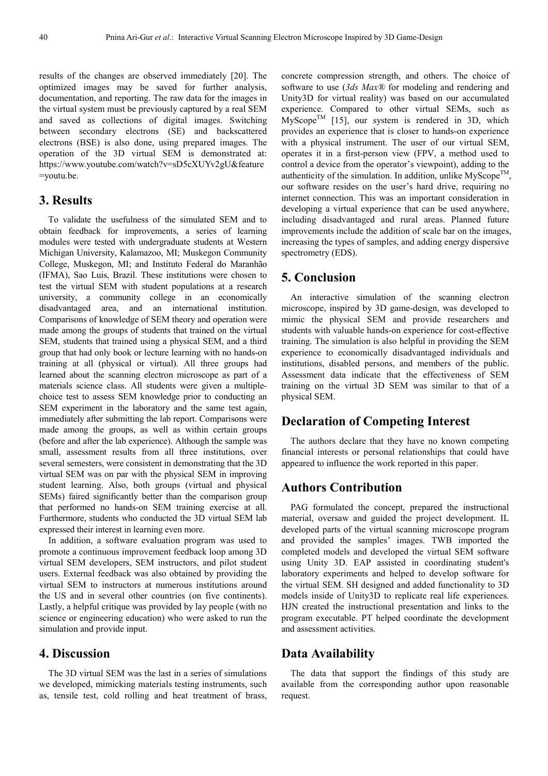results of the changes are observed immediately [20]. The optimized images may be saved for further analysis, documentation, and reporting. The raw data for the images in the virtual system must be previously captured by a real SEM and saved as collections of digital images. Switching between secondary electrons (SE) and backscattered electrons (BSE) is also done, using prepared images. The operation of the 3D virtual SEM is demonstrated at: https://www.youtube.com/watch?v=sD5cXUYv2gU&feature =youtu.be.

## **3. Results**

To validate the usefulness of the simulated SEM and to obtain feedback for improvements, a series of learning modules were tested with undergraduate students at Western Michigan University, Kalamazoo, MI; Muskegon Community College, Muskegon, MI; and Instituto Federal do Maranhão (IFMA), Sao Luis, Brazil. These institutions were chosen to test the virtual SEM with student populations at a research university, a community college in an economically disadvantaged area, and an international institution. Comparisons of knowledge of SEM theory and operation were made among the groups of students that trained on the virtual SEM, students that trained using a physical SEM, and a third group that had only book or lecture learning with no hands-on training at all (physical or virtual). All three groups had learned about the scanning electron microscope as part of a materials science class. All students were given a multiplechoice test to assess SEM knowledge prior to conducting an SEM experiment in the laboratory and the same test again, immediately after submitting the lab report. Comparisons were made among the groups, as well as within certain groups (before and after the lab experience). Although the sample was small, assessment results from all three institutions, over several semesters, were consistent in demonstrating that the 3D virtual SEM was on par with the physical SEM in improving student learning. Also, both groups (virtual and physical SEMs) faired significantly better than the comparison group that performed no hands-on SEM training exercise at all. Furthermore, students who conducted the 3D virtual SEM lab expressed their interest in learning even more.

In addition, a software evaluation program was used to promote a continuous improvement feedback loop among 3D virtual SEM developers, SEM instructors, and pilot student users. External feedback was also obtained by providing the virtual SEM to instructors at numerous institutions around the US and in several other countries (on five continents). Lastly, a helpful critique was provided by lay people (with no science or engineering education) who were asked to run the simulation and provide input.

## **4. Discussion**

The 3D virtual SEM was the last in a series of simulations we developed, mimicking materials testing instruments, such as, tensile test, cold rolling and heat treatment of brass, concrete compression strength, and others. The choice of software to use (*3ds Max®* for modeling and rendering and Unity3D for virtual reality) was based on our accumulated experience. Compared to other virtual SEMs, such as  $M_y$ Scope<sup>TM</sup> [15], our system is rendered in 3D, which provides an experience that is closer to hands-on experience with a physical instrument. The user of our virtual SEM, operates it in a first-person view (FPV, a method used to control a device from the operator's viewpoint), adding to the authenticity of the simulation. In addition, unlike  $MyScope^{TM}$ , our software resides on the user's hard drive, requiring no internet connection. This was an important consideration in developing a virtual experience that can be used anywhere, including disadvantaged and rural areas. Planned future improvements include the addition of scale bar on the images, increasing the types of samples, and adding energy dispersive spectrometry (EDS).

## **5. Conclusion**

An interactive simulation of the scanning electron microscope, inspired by 3D game-design, was developed to mimic the physical SEM and provide researchers and students with valuable hands-on experience for cost-effective training. The simulation is also helpful in providing the SEM experience to economically disadvantaged individuals and institutions, disabled persons, and members of the public. Assessment data indicate that the effectiveness of SEM training on the virtual 3D SEM was similar to that of a physical SEM.

## **Declaration of Competing Interest**

The authors declare that they have no known competing financial interests or personal relationships that could have appeared to influence the work reported in this paper.

## **Authors Contribution**

PAG formulated the concept, prepared the instructional material, oversaw and guided the project development. IL developed parts of the virtual scanning microscope program and provided the samples' images. TWB imported the completed models and developed the virtual SEM software using Unity 3D. EAP assisted in coordinating student's laboratory experiments and helped to develop software for the virtual SEM. SH designed and added functionality to 3D models inside of Unity3D to replicate real life experiences. HJN created the instructional presentation and links to the program executable. PT helped coordinate the development and assessment activities.

### **Data Availability**

The data that support the findings of this study are available from the corresponding author upon reasonable request.